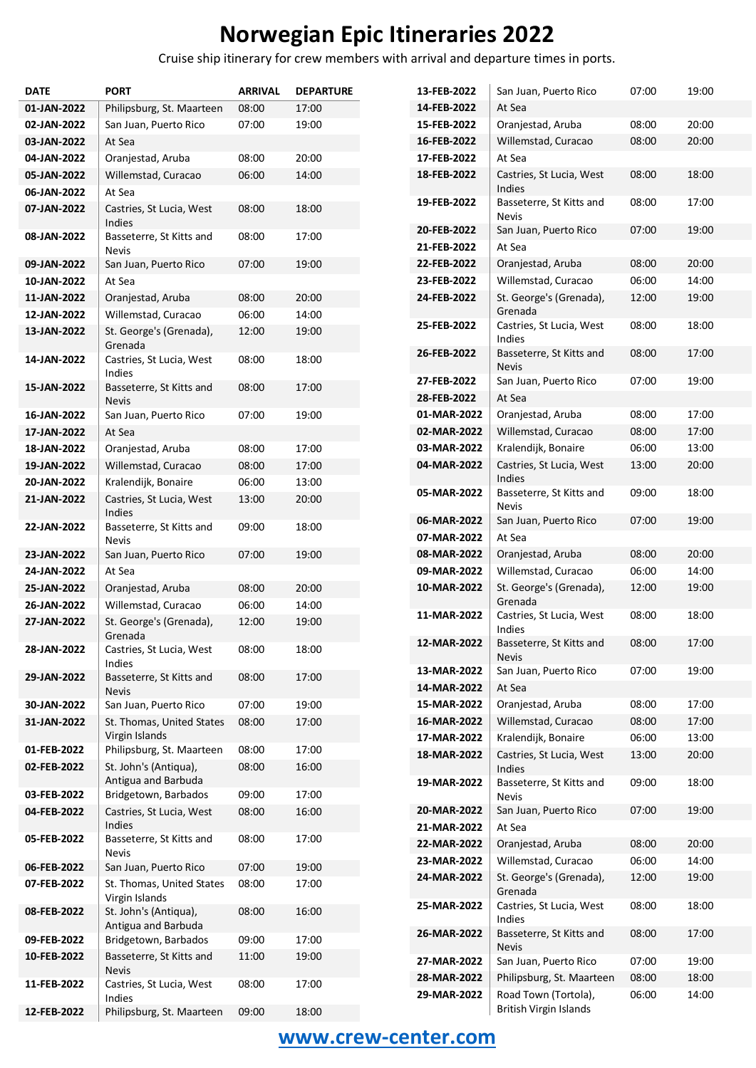Cruise ship itinerary for crew members with arrival and departure times in ports.

| <b>DATE</b>                | <b>PORT</b>                                  | <b>ARRIVAL</b> | <b>DEPARTURE</b> |
|----------------------------|----------------------------------------------|----------------|------------------|
| 01-JAN-2022                | Philipsburg, St. Maarteen                    | 08:00          | 17:00            |
| 02-JAN-2022                | San Juan, Puerto Rico                        | 07:00          | 19:00            |
| 03-JAN-2022                | At Sea                                       |                |                  |
| 04-JAN-2022                | Oranjestad, Aruba                            | 08:00          | 20:00            |
| 05-JAN-2022                | Willemstad, Curacao                          | 06:00          | 14:00            |
| 06-JAN-2022                | At Sea                                       |                |                  |
| 07-JAN-2022                | Castries, St Lucia, West<br>Indies           | 08:00          | 18:00            |
| 08-JAN-2022                | Basseterre, St Kitts and<br><b>Nevis</b>     | 08:00          | 17:00            |
| 09-JAN-2022                | San Juan, Puerto Rico                        | 07:00          | 19:00            |
| 10-JAN-2022                | At Sea                                       |                |                  |
| 11-JAN-2022                | Oranjestad, Aruba                            | 08:00          | 20:00            |
| 12-JAN-2022                | Willemstad, Curacao                          | 06:00          | 14:00            |
| 13-JAN-2022                | St. George's (Grenada),<br>Grenada           | 12:00          | 19:00            |
| 14-JAN-2022                | Castries, St Lucia, West<br>Indies           | 08:00          | 18:00            |
| 15-JAN-2022                | Basseterre, St Kitts and<br><b>Nevis</b>     | 08:00          | 17:00            |
| 16-JAN-2022                | San Juan, Puerto Rico                        | 07:00          | 19:00            |
| 17-JAN-2022                | At Sea                                       |                |                  |
| 18-JAN-2022                | Oranjestad, Aruba                            | 08:00          | 17:00            |
| 19-JAN-2022                | Willemstad, Curacao                          | 08:00          | 17:00            |
| 20-JAN-2022                | Kralendijk, Bonaire                          | 06:00          | 13:00            |
| 21-JAN-2022                | Castries, St Lucia, West<br>Indies           | 13:00          | 20:00            |
| 22-JAN-2022                | Basseterre, St Kitts and<br><b>Nevis</b>     | 09:00          | 18:00            |
| 23-JAN-2022                | San Juan, Puerto Rico                        | 07:00          | 19:00            |
| 24-JAN-2022<br>25-JAN-2022 | At Sea                                       |                |                  |
| 26-JAN-2022                | Oranjestad, Aruba<br>Willemstad, Curacao     | 08:00<br>06:00 | 20:00<br>14:00   |
| 27-JAN-2022                | St. George's (Grenada),                      | 12:00          | 19:00            |
|                            | Grenada                                      |                |                  |
| 28-JAN-2022                | Castries, St Lucia, West<br>Indies           | 08:00          | 18:00            |
| 29-JAN-2022                | Basseterre, St Kitts and<br><b>Nevis</b>     | 08:00          | 17:00            |
| 30-JAN-2022                | San Juan, Puerto Rico                        | 07:00          | 19:00            |
| 31-JAN-2022                | St. Thomas, United States<br>Virgin Islands  | 08:00          | 17:00            |
| 01-FEB-2022                | Philipsburg, St. Maarteen                    | 08:00          | 17:00            |
| 02-FEB-2022                | St. John's (Antiqua),<br>Antigua and Barbuda | 08:00          | 16:00            |
| 03-FEB-2022                | Bridgetown, Barbados                         | 09:00          | 17:00            |
| 04-FEB-2022                | Castries, St Lucia, West<br>Indies           | 08:00          | 16:00            |
| 05-FEB-2022                | Basseterre, St Kitts and<br><b>Nevis</b>     | 08:00          | 17:00            |
| 06-FEB-2022                | San Juan, Puerto Rico                        | 07:00          | 19:00            |
| 07-FEB-2022                | St. Thomas, United States<br>Virgin Islands  | 08:00          | 17:00            |
| 08-FEB-2022                | St. John's (Antiqua),<br>Antigua and Barbuda | 08:00          | 16:00            |
| 09-FEB-2022                | Bridgetown, Barbados                         | 09:00          | 17:00            |
| 10-FEB-2022                | Basseterre, St Kitts and<br><b>Nevis</b>     | 11:00          | 19:00            |
| 11-FEB-2022                | Castries, St Lucia, West<br>Indies           | 08:00          | 17:00            |
| 12-FEB-2022                | Philipsburg, St. Maarteen                    | 09:00          | 18:00            |

| 13-FEB-2022 | San Juan, Puerto Rico                          | 07:00 | 19:00 |
|-------------|------------------------------------------------|-------|-------|
| 14-FEB-2022 | At Sea                                         |       |       |
| 15-FEB-2022 | Oranjestad, Aruba                              | 08:00 | 20:00 |
| 16-FEB-2022 | Willemstad, Curacao                            | 08:00 | 20:00 |
| 17-FEB-2022 | At Sea                                         |       |       |
| 18-FEB-2022 | Castries, St Lucia, West<br>Indies             | 08:00 | 18:00 |
| 19-FEB-2022 | Basseterre, St Kitts and<br>Nevis              | 08:00 | 17:00 |
| 20-FEB-2022 | San Juan, Puerto Rico                          | 07:00 | 19:00 |
| 21-FEB-2022 | At Sea                                         |       |       |
| 22-FEB-2022 | Oranjestad, Aruba                              | 08:00 | 20:00 |
| 23-FEB-2022 | Willemstad, Curacao                            | 06:00 | 14:00 |
| 24-FEB-2022 | St. George's (Grenada),<br>Grenada             | 12:00 | 19:00 |
| 25-FEB-2022 | Castries, St Lucia, West<br>Indies             | 08:00 | 18:00 |
| 26-FEB-2022 | Basseterre, St Kitts and<br>Nevis              | 08:00 | 17:00 |
| 27-FEB-2022 | San Juan, Puerto Rico                          | 07:00 | 19:00 |
| 28-FEB-2022 | At Sea                                         |       |       |
| 01-MAR-2022 | Oranjestad, Aruba                              | 08:00 | 17:00 |
| 02-MAR-2022 | Willemstad, Curacao                            | 08:00 | 17:00 |
| 03-MAR-2022 | Kralendijk, Bonaire                            | 06:00 | 13:00 |
| 04-MAR-2022 | Castries, St Lucia, West<br>Indies             | 13:00 | 20:00 |
| 05-MAR-2022 | Basseterre, St Kitts and<br><b>Nevis</b>       | 09:00 | 18:00 |
| 06-MAR-2022 | San Juan, Puerto Rico                          | 07:00 | 19:00 |
| 07-MAR-2022 | At Sea                                         |       |       |
| 08-MAR-2022 | Oranjestad, Aruba                              | 08:00 | 20:00 |
| 09-MAR-2022 | Willemstad, Curacao                            | 06:00 | 14:00 |
| 10-MAR-2022 | St. George's (Grenada),<br>Grenada             | 12:00 | 19:00 |
| 11-MAR-2022 | Castries, St Lucia, West<br>Indies             | 08:00 | 18:00 |
| 12-MAR-2022 | Basseterre, St Kitts and<br><b>Nevis</b>       | 08:00 | 17:00 |
| 13-MAR-2022 | San Juan, Puerto Rico                          | 07:00 | 19:00 |
| 14-MAR-2022 | At Sea                                         |       |       |
| 15-MAR-2022 | Oranjestad, Aruba                              | 08:00 | 17:00 |
| 16-MAR-2022 | Willemstad, Curacao                            | 08:00 | 17:00 |
| 17-MAR-2022 | Kralendijk, Bonaire                            | 06:00 | 13:00 |
| 18-MAR-2022 | Castries, St Lucia, West<br>Indies             | 13:00 | 20:00 |
| 19-MAR-2022 | Basseterre, St Kitts and<br><b>Nevis</b>       | 09:00 | 18:00 |
| 20-MAR-2022 | San Juan, Puerto Rico                          | 07:00 | 19:00 |
| 21-MAR-2022 | At Sea                                         |       |       |
| 22-MAR-2022 | Oranjestad, Aruba                              | 08:00 | 20:00 |
| 23-MAR-2022 | Willemstad, Curacao                            | 06:00 | 14:00 |
| 24-MAR-2022 | St. George's (Grenada),<br>Grenada             | 12:00 | 19:00 |
| 25-MAR-2022 | Castries, St Lucia, West<br>Indies             | 08:00 | 18:00 |
| 26-MAR-2022 | Basseterre, St Kitts and<br><b>Nevis</b>       | 08:00 | 17:00 |
| 27-MAR-2022 | San Juan, Puerto Rico                          | 07:00 | 19:00 |
| 28-MAR-2022 | Philipsburg, St. Maarteen                      | 08:00 | 18:00 |
| 29-MAR-2022 | Road Town (Tortola),<br>British Virgin Islands | 06:00 | 14:00 |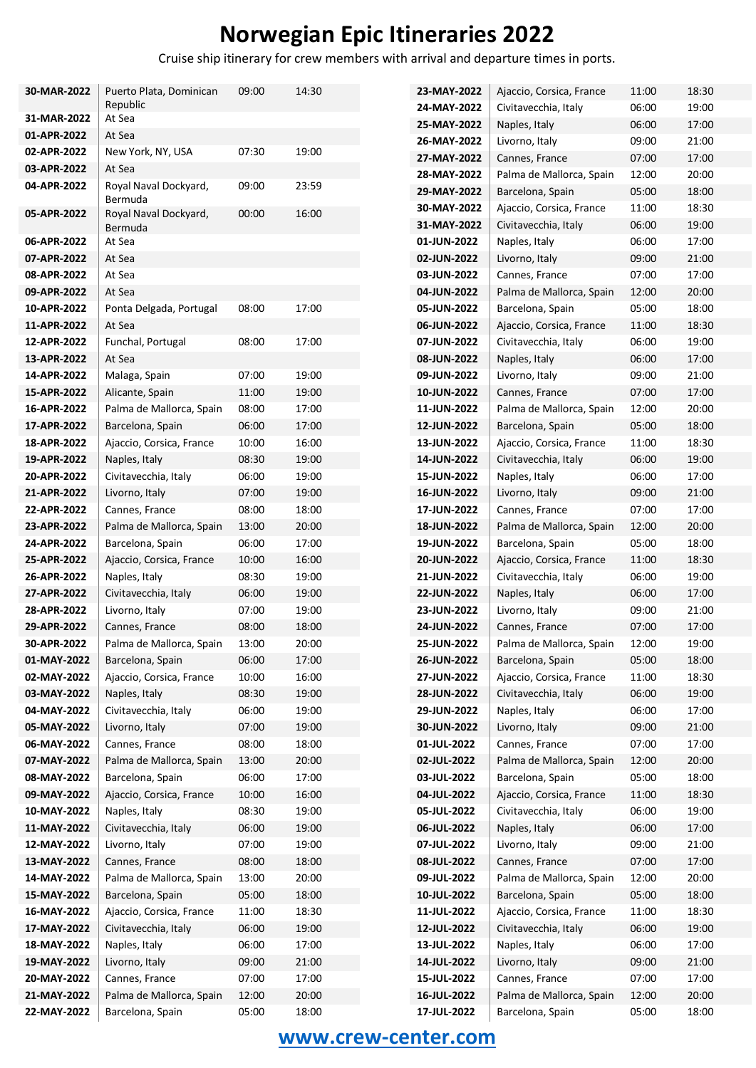Cruise ship itinerary for crew members with arrival and departure times in ports.

| 30-MAR-2022                | Puerto Plata, Dominican                      | 09:00          | 14:30          |  |
|----------------------------|----------------------------------------------|----------------|----------------|--|
|                            | Republic                                     |                |                |  |
| 31-MAR-2022                | At Sea<br>At Sea                             |                |                |  |
| 01-APR-2022                |                                              |                |                |  |
| 02-APR-2022<br>03-APR-2022 | New York, NY, USA                            | 07:30          | 19:00          |  |
| 04-APR-2022                | At Sea                                       | 09:00          | 23:59          |  |
|                            | Royal Naval Dockyard,<br>Bermuda             |                |                |  |
| 05-APR-2022                | Royal Naval Dockyard,                        | 00:00          | 16:00          |  |
|                            | Bermuda                                      |                |                |  |
| 06-APR-2022                | At Sea                                       |                |                |  |
| 07-APR-2022                | At Sea                                       |                |                |  |
| 08-APR-2022                | At Sea                                       |                |                |  |
| 09-APR-2022                | At Sea                                       |                |                |  |
| 10-APR-2022                | Ponta Delgada, Portugal                      | 08:00          | 17:00          |  |
| 11-APR-2022                | At Sea                                       |                |                |  |
| 12-APR-2022                | Funchal, Portugal                            | 08:00          | 17:00          |  |
| 13-APR-2022                | At Sea                                       |                |                |  |
| 14-APR-2022                | Malaga, Spain                                | 07:00          | 19:00          |  |
| 15-APR-2022                | Alicante, Spain                              | 11:00          | 19:00          |  |
| 16-APR-2022                | Palma de Mallorca, Spain                     | 08:00          | 17:00          |  |
| 17-APR-2022                | Barcelona, Spain                             | 06:00          | 17:00          |  |
| 18-APR-2022                | Ajaccio, Corsica, France                     | 10:00          | 16:00          |  |
| 19-APR-2022                | Naples, Italy                                | 08:30          | 19:00          |  |
| 20-APR-2022                | Civitavecchia, Italy                         | 06:00          | 19:00          |  |
| 21-APR-2022                | Livorno, Italy                               | 07:00          | 19:00          |  |
| 22-APR-2022                | Cannes, France                               | 08:00          | 18:00          |  |
| 23-APR-2022                | Palma de Mallorca, Spain                     | 13:00          | 20:00          |  |
| 24-APR-2022                | Barcelona, Spain                             | 06:00          | 17:00          |  |
| 25-APR-2022                | Ajaccio, Corsica, France                     | 10:00          | 16:00          |  |
| 26-APR-2022                | Naples, Italy                                | 08:30          | 19:00          |  |
| 27-APR-2022                | Civitavecchia, Italy                         | 06:00          | 19:00          |  |
| 28-APR-2022                | Livorno, Italy                               | 07:00          | 19:00          |  |
| 29-APR-2022                | Cannes, France                               | 08:00          | 18:00          |  |
| 30-APR-2022                | Palma de Mallorca, Spain                     | 13:00          | 20:00          |  |
| 01-MAY-2022<br>02-MAY-2022 | Barcelona, Spain<br>Ajaccio, Corsica, France | 06:00<br>10:00 | 17:00<br>16:00 |  |
| 03-MAY-2022                | Naples, Italy                                | 08:30          | 19:00          |  |
| 04-MAY-2022                | Civitavecchia, Italy                         | 06:00          | 19:00          |  |
| 05-MAY-2022                | Livorno, Italy                               | 07:00          | 19:00          |  |
| 06-MAY-2022                | Cannes, France                               | 08:00          | 18:00          |  |
| 07-MAY-2022                | Palma de Mallorca, Spain                     | 13:00          | 20:00          |  |
| 08-MAY-2022                | Barcelona, Spain                             | 06:00          | 17:00          |  |
| 09-MAY-2022                | Ajaccio, Corsica, France                     | 10:00          | 16:00          |  |
| 10-MAY-2022                | Naples, Italy                                | 08:30          | 19:00          |  |
| 11-MAY-2022                | Civitavecchia, Italy                         | 06:00          | 19:00          |  |
| 12-MAY-2022                | Livorno, Italy                               | 07:00          | 19:00          |  |
| 13-MAY-2022                | Cannes, France                               | 08:00          | 18:00          |  |
| 14-MAY-2022                | Palma de Mallorca, Spain                     | 13:00          | 20:00          |  |
| 15-MAY-2022                | Barcelona, Spain                             | 05:00          | 18:00          |  |
| 16-MAY-2022                | Ajaccio, Corsica, France                     | 11:00          | 18:30          |  |
| 17-MAY-2022                | Civitavecchia, Italy                         | 06:00          | 19:00          |  |
| 18-MAY-2022                | Naples, Italy                                | 06:00          | 17:00          |  |
| 19-MAY-2022                | Livorno, Italy                               | 09:00          | 21:00          |  |
| 20-MAY-2022                | Cannes, France                               | 07:00          | 17:00          |  |
| 21-MAY-2022                | Palma de Mallorca, Spain                     | 12:00          | 20:00          |  |
| 22-MAY-2022                | Barcelona, Spain                             | 05:00          | 18:00          |  |

| 23-MAY-2022                | Ajaccio, Corsica, France              | 11:00          | 18:30          |
|----------------------------|---------------------------------------|----------------|----------------|
| 24-MAY-2022                | Civitavecchia, Italy                  | 06:00          | 19:00          |
| 25-MAY-2022                | Naples, Italy                         | 06:00          | 17:00          |
| 26-MAY-2022                | Livorno, Italy                        | 09:00          | 21:00          |
| 27-MAY-2022                | Cannes, France                        | 07:00          | 17:00          |
| 28-MAY-2022                | Palma de Mallorca, Spain              | 12:00          | 20:00          |
| 29-MAY-2022                | Barcelona, Spain                      | 05:00          | 18:00          |
| 30-MAY-2022                | Ajaccio, Corsica, France              | 11:00          | 18:30          |
| 31-MAY-2022                | Civitavecchia, Italy                  | 06:00          | 19:00          |
| 01-JUN-2022                | Naples, Italy                         | 06:00          | 17:00          |
| 02-JUN-2022                | Livorno, Italy                        | 09:00          | 21:00          |
| 03-JUN-2022                | Cannes, France                        | 07:00          | 17:00          |
| 04-JUN-2022                | Palma de Mallorca, Spain              | 12:00          | 20:00          |
| 05-JUN-2022                | Barcelona, Spain                      | 05:00          | 18:00          |
| 06-JUN-2022                | Ajaccio, Corsica, France              | 11:00          | 18:30          |
| 07-JUN-2022                | Civitavecchia, Italy                  | 06:00          | 19:00          |
| 08-JUN-2022                | Naples, Italy                         | 06:00          | 17:00          |
| 09-JUN-2022                | Livorno, Italy                        | 09:00          | 21:00          |
| 10-JUN-2022                | Cannes, France                        | 07:00          | 17:00          |
| 11-JUN-2022                | Palma de Mallorca, Spain              | 12:00          | 20:00          |
| 12-JUN-2022                | Barcelona, Spain                      | 05:00          | 18:00          |
| 13-JUN-2022                | Ajaccio, Corsica, France              | 11:00          | 18:30          |
| 14-JUN-2022                | Civitavecchia, Italy                  | 06:00          | 19:00          |
| 15-JUN-2022                | Naples, Italy                         | 06:00          | 17:00          |
| 16-JUN-2022                | Livorno, Italy                        | 09:00          | 21:00          |
| 17-JUN-2022                | Cannes, France                        | 07:00          | 17:00          |
| 18-JUN-2022                | Palma de Mallorca, Spain              | 12:00          | 20:00          |
| 19-JUN-2022                | Barcelona, Spain                      | 05:00          | 18:00          |
| 20-JUN-2022                | Ajaccio, Corsica, France              | 11:00          | 18:30          |
| 21-JUN-2022                | Civitavecchia, Italy                  | 06:00          | 19:00          |
| 22-JUN-2022                | Naples, Italy                         | 06:00          | 17:00          |
| 23-JUN-2022                | Livorno, Italy                        | 09:00          | 21:00          |
| 24-JUN-2022                | Cannes, France                        | 07:00          | 17:00          |
| 25-JUN-2022                | Palma de Mallorca, Spain              | 12:00          | 19:00          |
| 26-JUN-2022                | Barcelona, Spain                      | 05:00          | 18:00          |
| 27-JUN-2022                | Ajaccio, Corsica, France              | 11:00          | 18:30          |
| 28-JUN-2022                | Civitavecchia, Italy                  | 06:00          | 19:00          |
| 29-JUN-2022                | Naples, Italy                         | 06:00          | 17:00          |
| 30-JUN-2022                | Livorno, Italy                        | 09:00          | 21:00          |
| 01-JUL-2022                | Cannes, France                        | 07:00          | 17:00          |
| 02-JUL-2022                | Palma de Mallorca, Spain              | 12:00          | 20:00          |
| 03-JUL-2022                | Barcelona, Spain                      | 05:00          | 18:00          |
| 04-JUL-2022                | Ajaccio, Corsica, France              | 11:00<br>06:00 | 18:30<br>19:00 |
| 05-JUL-2022<br>06-JUL-2022 | Civitavecchia, Italy<br>Naples, Italy | 06:00          | 17:00          |
| 07-JUL-2022                | Livorno, Italy                        | 09:00          | 21:00          |
| 08-JUL-2022                | Cannes, France                        | 07:00          | 17:00          |
| 09-JUL-2022                | Palma de Mallorca, Spain              | 12:00          | 20:00          |
| 10-JUL-2022                | Barcelona, Spain                      | 05:00          | 18:00          |
| 11-JUL-2022                | Ajaccio, Corsica, France              | 11:00          | 18:30          |
| 12-JUL-2022                | Civitavecchia, Italy                  | 06:00          | 19:00          |
| 13-JUL-2022                | Naples, Italy                         | 06:00          | 17:00          |
| 14-JUL-2022                | Livorno, Italy                        | 09:00          | 21:00          |
| 15-JUL-2022                | Cannes, France                        | 07:00          | 17:00          |
| 16-JUL-2022                | Palma de Mallorca, Spain              | 12:00          | 20:00          |
| 17-JUL-2022                | Barcelona, Spain                      | 05:00          | 18:00          |
|                            |                                       |                |                |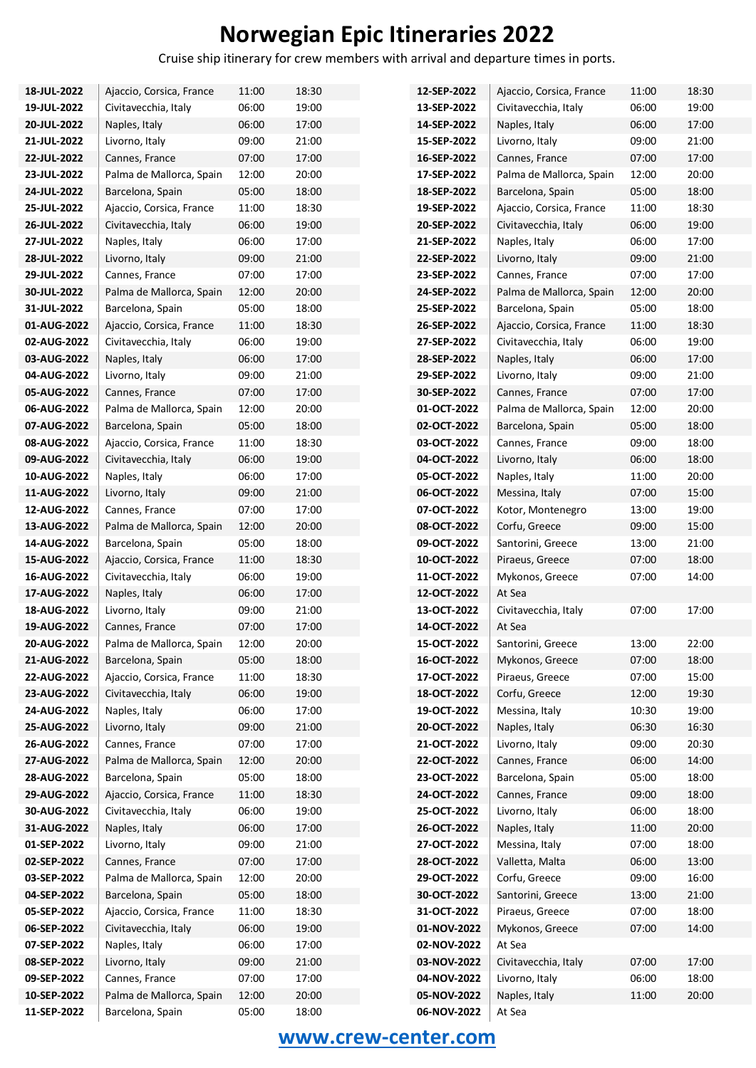Cruise ship itinerary for crew members with arrival and departure times in ports.

| 18-JUL-2022                | Ajaccio, Corsica, France        | 11:00          | 18:30          | 12-SEP-2022                | Ajaccio, Corsica, France        | 11:00          | 18:30          |
|----------------------------|---------------------------------|----------------|----------------|----------------------------|---------------------------------|----------------|----------------|
| 19-JUL-2022                | Civitavecchia, Italy            | 06:00          | 19:00          | 13-SEP-2022                | Civitavecchia, Italy            | 06:00          | 19:00          |
| 20-JUL-2022                | Naples, Italy                   | 06:00          | 17:00          | 14-SEP-2022                | Naples, Italy                   | 06:00          | 17:00          |
| 21-JUL-2022                | Livorno, Italy                  | 09:00          | 21:00          | 15-SEP-2022                | Livorno, Italy                  | 09:00          | 21:00          |
| 22-JUL-2022                | Cannes, France                  | 07:00          | 17:00          | 16-SEP-2022                | Cannes, France                  | 07:00          | 17:00          |
| 23-JUL-2022                | Palma de Mallorca, Spain        | 12:00          | 20:00          | 17-SEP-2022                | Palma de Mallorca, Spain        | 12:00          | 20:00          |
| 24-JUL-2022                | Barcelona, Spain                | 05:00          | 18:00          | 18-SEP-2022                | Barcelona, Spain                | 05:00          | 18:00          |
| 25-JUL-2022                | Ajaccio, Corsica, France        | 11:00          | 18:30          | 19-SEP-2022                | Ajaccio, Corsica, France        | 11:00          | 18:30          |
| 26-JUL-2022                | Civitavecchia, Italy            | 06:00          | 19:00          | 20-SEP-2022                | Civitavecchia, Italy            | 06:00          | 19:00          |
| 27-JUL-2022                | Naples, Italy                   | 06:00          | 17:00          | 21-SEP-2022                | Naples, Italy                   | 06:00          | 17:00          |
| 28-JUL-2022                | Livorno, Italy                  | 09:00          | 21:00          | 22-SEP-2022                | Livorno, Italy                  | 09:00          | 21:00          |
| 29-JUL-2022                | Cannes, France                  | 07:00          | 17:00          | 23-SEP-2022                | Cannes, France                  | 07:00          | 17:00          |
| 30-JUL-2022                | Palma de Mallorca, Spain        | 12:00          | 20:00          | 24-SEP-2022                | Palma de Mallorca, Spain        | 12:00          | 20:00          |
| 31-JUL-2022                | Barcelona, Spain                | 05:00          | 18:00          | 25-SEP-2022                | Barcelona, Spain                | 05:00          | 18:00          |
| 01-AUG-2022                | Ajaccio, Corsica, France        | 11:00          | 18:30          | 26-SEP-2022                | Ajaccio, Corsica, France        | 11:00          | 18:30          |
| 02-AUG-2022                | Civitavecchia, Italy            | 06:00          | 19:00          | 27-SEP-2022                | Civitavecchia, Italy            | 06:00          | 19:00          |
| 03-AUG-2022                | Naples, Italy                   | 06:00          | 17:00          | 28-SEP-2022                | Naples, Italy                   | 06:00          | 17:00          |
| 04-AUG-2022                | Livorno, Italy                  | 09:00          | 21:00          | 29-SEP-2022                | Livorno, Italy                  | 09:00          | 21:00          |
| 05-AUG-2022                | Cannes, France                  | 07:00          | 17:00          | 30-SEP-2022                | Cannes, France                  | 07:00          | 17:00          |
| 06-AUG-2022                | Palma de Mallorca, Spain        | 12:00          | 20:00          | 01-OCT-2022                | Palma de Mallorca, Spain        | 12:00          | 20:00          |
| 07-AUG-2022                | Barcelona, Spain                | 05:00          | 18:00          | 02-OCT-2022                | Barcelona, Spain                | 05:00          | 18:00          |
| 08-AUG-2022                | Ajaccio, Corsica, France        | 11:00          | 18:30          | 03-OCT-2022                | Cannes, France                  | 09:00          | 18:00          |
| 09-AUG-2022                | Civitavecchia, Italy            | 06:00          | 19:00          | 04-OCT-2022                | Livorno, Italy                  | 06:00          | 18:00          |
| 10-AUG-2022                | Naples, Italy                   | 06:00          | 17:00          | 05-OCT-2022                | Naples, Italy                   | 11:00          | 20:00          |
| 11-AUG-2022                | Livorno, Italy                  | 09:00          | 21:00          | 06-OCT-2022                | Messina, Italy                  | 07:00          | 15:00          |
| 12-AUG-2022                | Cannes, France                  | 07:00          | 17:00          | 07-OCT-2022                | Kotor, Montenegro               | 13:00          | 19:00          |
| 13-AUG-2022                | Palma de Mallorca, Spain        | 12:00          | 20:00          | 08-OCT-2022                | Corfu, Greece                   | 09:00          | 15:00          |
| 14-AUG-2022                | Barcelona, Spain                | 05:00          | 18:00          | 09-OCT-2022                | Santorini, Greece               | 13:00          | 21:00          |
| 15-AUG-2022                | Ajaccio, Corsica, France        | 11:00          | 18:30          | 10-OCT-2022                | Piraeus, Greece                 | 07:00          | 18:00          |
| 16-AUG-2022                | Civitavecchia, Italy            | 06:00          | 19:00          | 11-OCT-2022                | Mykonos, Greece                 | 07:00          | 14:00          |
| 17-AUG-2022                | Naples, Italy                   | 06:00          | 17:00          | 12-OCT-2022                | At Sea                          |                |                |
| 18-AUG-2022                | Livorno, Italy                  | 09:00          | 21:00          | 13-OCT-2022                | Civitavecchia, Italy            | 07:00          | 17:00          |
| 19-AUG-2022                | Cannes, France                  | 07:00          | 17:00          | 14-OCT-2022                | At Sea                          |                |                |
| 20-AUG-2022                | Palma de Mallorca, Spain        | 12:00          | 20:00          | 15-OCT-2022                | Santorini, Greece               | 13:00          | 22:00          |
| 21-AUG-2022                | Barcelona, Spain                | 05:00          | 18:00          | 16-OCT-2022                | Mykonos, Greece                 | 07:00          | 18:00          |
| 22-AUG-2022                | Ajaccio, Corsica, France        | 11:00          | 18:30          | 17-OCT-2022                | Piraeus, Greece                 | 07:00          | 15:00          |
| 23-AUG-2022<br>24-AUG-2022 | Civitavecchia, Italy            | 06:00<br>06:00 | 19:00<br>17:00 | 18-OCT-2022<br>19-OCT-2022 | Corfu, Greece                   | 12:00<br>10:30 | 19:30<br>19:00 |
| 25-AUG-2022                | Naples, Italy<br>Livorno, Italy | 09:00          |                | 20-OCT-2022                | Messina, Italy<br>Naples, Italy | 06:30          |                |
| 26-AUG-2022                | Cannes, France                  | 07:00          | 21:00<br>17:00 | 21-OCT-2022                | Livorno, Italy                  | 09:00          | 16:30<br>20:30 |
| 27-AUG-2022                | Palma de Mallorca, Spain        | 12:00          | 20:00          | 22-OCT-2022                | Cannes, France                  | 06:00          | 14:00          |
| 28-AUG-2022                | Barcelona, Spain                | 05:00          | 18:00          | 23-OCT-2022                | Barcelona, Spain                | 05:00          | 18:00          |
| 29-AUG-2022                | Ajaccio, Corsica, France        | 11:00          | 18:30          | 24-OCT-2022                | Cannes, France                  | 09:00          | 18:00          |
| 30-AUG-2022                | Civitavecchia, Italy            | 06:00          | 19:00          | 25-OCT-2022                | Livorno, Italy                  | 06:00          | 18:00          |
| 31-AUG-2022                | Naples, Italy                   | 06:00          | 17:00          | 26-OCT-2022                | Naples, Italy                   | 11:00          | 20:00          |
| 01-SEP-2022                | Livorno, Italy                  | 09:00          | 21:00          | 27-OCT-2022                | Messina, Italy                  | 07:00          | 18:00          |
| 02-SEP-2022                | Cannes, France                  | 07:00          | 17:00          | 28-OCT-2022                | Valletta, Malta                 | 06:00          | 13:00          |
| 03-SEP-2022                | Palma de Mallorca, Spain        | 12:00          | 20:00          | 29-OCT-2022                | Corfu, Greece                   | 09:00          | 16:00          |
| 04-SEP-2022                | Barcelona, Spain                | 05:00          | 18:00          | 30-OCT-2022                | Santorini, Greece               | 13:00          | 21:00          |
| 05-SEP-2022                | Ajaccio, Corsica, France        | 11:00          | 18:30          | 31-OCT-2022                | Piraeus, Greece                 | 07:00          | 18:00          |
| 06-SEP-2022                | Civitavecchia, Italy            | 06:00          | 19:00          | 01-NOV-2022                | Mykonos, Greece                 | 07:00          | 14:00          |
| 07-SEP-2022                | Naples, Italy                   | 06:00          | 17:00          | 02-NOV-2022                | At Sea                          |                |                |
| 08-SEP-2022                | Livorno, Italy                  | 09:00          | 21:00          | 03-NOV-2022                | Civitavecchia, Italy            | 07:00          | 17:00          |
| 09-SEP-2022                | Cannes, France                  | 07:00          | 17:00          | 04-NOV-2022                | Livorno, Italy                  | 06:00          | 18:00          |
| 10-SEP-2022                | Palma de Mallorca, Spain        | 12:00          | 20:00          | 05-NOV-2022                | Naples, Italy                   | 11:00          | 20:00          |
| 11-SEP-2022                | Barcelona, Spain                | 05:00          | 18:00          | 06-NOV-2022                | At Sea                          |                |                |
|                            |                                 |                |                |                            |                                 |                |                |